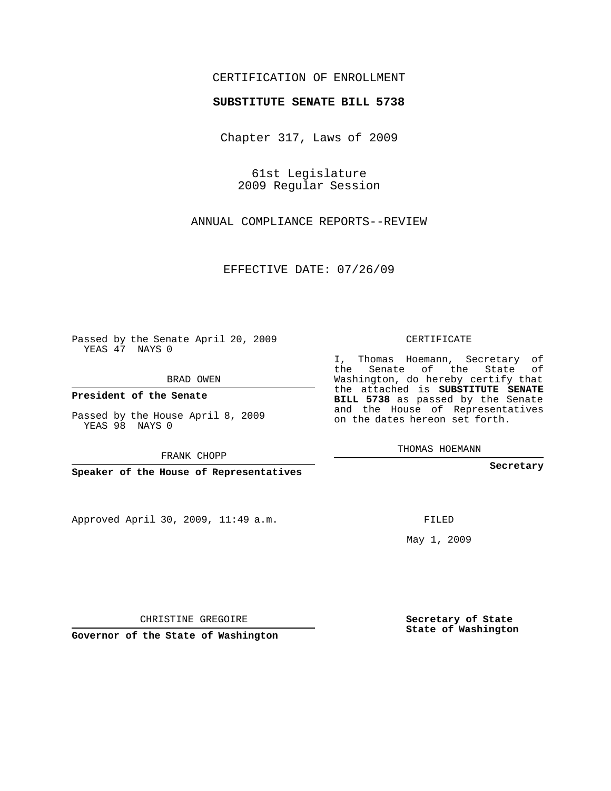## CERTIFICATION OF ENROLLMENT

## **SUBSTITUTE SENATE BILL 5738**

Chapter 317, Laws of 2009

61st Legislature 2009 Regular Session

ANNUAL COMPLIANCE REPORTS--REVIEW

EFFECTIVE DATE: 07/26/09

Passed by the Senate April 20, 2009 YEAS 47 NAYS 0

BRAD OWEN

**President of the Senate**

Passed by the House April 8, 2009 YEAS 98 NAYS 0

FRANK CHOPP

**Speaker of the House of Representatives**

Approved April 30, 2009, 11:49 a.m.

CERTIFICATE

I, Thomas Hoemann, Secretary of the Senate of the State of Washington, do hereby certify that the attached is **SUBSTITUTE SENATE BILL 5738** as passed by the Senate and the House of Representatives on the dates hereon set forth.

THOMAS HOEMANN

**Secretary**

FILED

May 1, 2009

**Secretary of State State of Washington**

CHRISTINE GREGOIRE

**Governor of the State of Washington**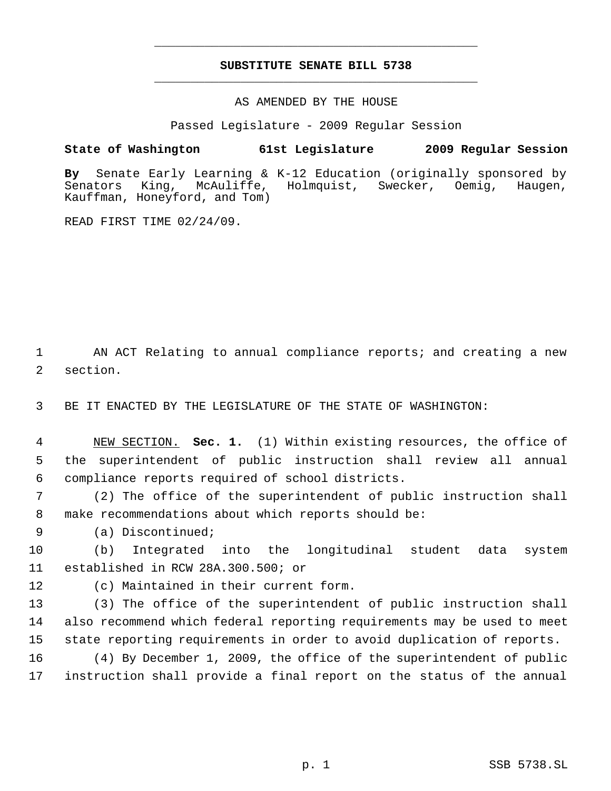## **SUBSTITUTE SENATE BILL 5738** \_\_\_\_\_\_\_\_\_\_\_\_\_\_\_\_\_\_\_\_\_\_\_\_\_\_\_\_\_\_\_\_\_\_\_\_\_\_\_\_\_\_\_\_\_

\_\_\_\_\_\_\_\_\_\_\_\_\_\_\_\_\_\_\_\_\_\_\_\_\_\_\_\_\_\_\_\_\_\_\_\_\_\_\_\_\_\_\_\_\_

AS AMENDED BY THE HOUSE

Passed Legislature - 2009 Regular Session

## **State of Washington 61st Legislature 2009 Regular Session**

**By** Senate Early Learning & K-12 Education (originally sponsored by Senators King, McAuliffe, Holmquist, Swecker, Oemig, Haugen, Kauffman, Honeyford, and Tom)

READ FIRST TIME 02/24/09.

 AN ACT Relating to annual compliance reports; and creating a new section.

BE IT ENACTED BY THE LEGISLATURE OF THE STATE OF WASHINGTON:

 NEW SECTION. **Sec. 1.** (1) Within existing resources, the office of the superintendent of public instruction shall review all annual compliance reports required of school districts.

 (2) The office of the superintendent of public instruction shall make recommendations about which reports should be:

(a) Discontinued;

 (b) Integrated into the longitudinal student data system established in RCW 28A.300.500; or

(c) Maintained in their current form.

 (3) The office of the superintendent of public instruction shall also recommend which federal reporting requirements may be used to meet state reporting requirements in order to avoid duplication of reports.

 (4) By December 1, 2009, the office of the superintendent of public instruction shall provide a final report on the status of the annual